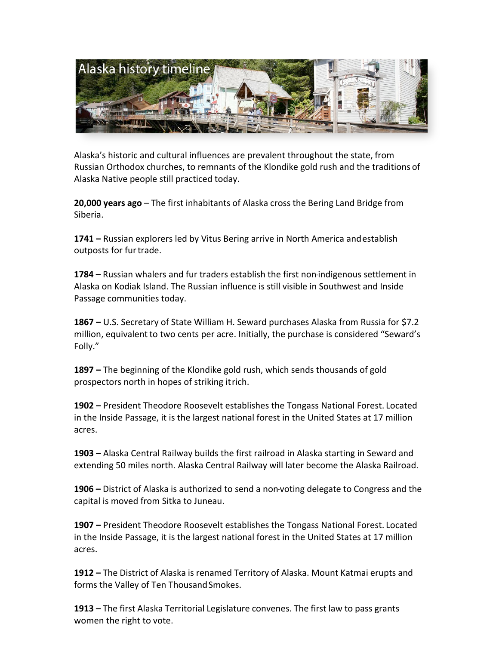

Alaska's historic and cultural influences are prevalent throughout the state, from Russian Orthodox churches, to remnants of the Klondike gold rush and the traditions of Alaska Native people still practiced today.

**20,000 years ago** – The first inhabitants of Alaska cross the Bering Land Bridge from Siberia. 

**1741** – Russian explorers led by Vitus Bering arrive in North America and establish outposts for fur trade.

**1784** – Russian whalers and fur traders establish the first non-indigenous settlement in Alaska on Kodiak Island. The Russian influence is still visible in Southwest and Inside Passage communities today.

**1867** – U.S. Secretary of State William H. Seward purchases Alaska from Russia for \$7.2 million, equivalent to two cents per acre. Initially, the purchase is considered "Seward's Folly." 

**1897** – The beginning of the Klondike gold rush, which sends thousands of gold prospectors north in hopes of striking it rich.

**1902** – President Theodore Roosevelt establishes the Tongass National Forest. Located in the Inside Passage, it is the largest national forest in the United States at 17 million acres. 

**1903** – Alaska Central Railway builds the first railroad in Alaska starting in Seward and extending 50 miles north. Alaska Central Railway will later become the Alaska Railroad.

**1906** – District of Alaska is authorized to send a non-voting delegate to Congress and the capital is moved from Sitka to Juneau.

**1907** – President Theodore Roosevelt establishes the Tongass National Forest. Located in the Inside Passage, it is the largest national forest in the United States at 17 million acres. 

**1912 –** The District of Alaska is renamed Territory of Alaska. Mount Katmai erupts and forms the Valley of Ten Thousand Smokes.

**1913 –** The first Alaska Territorial Legislature convenes. The first law to pass grants women the right to vote.